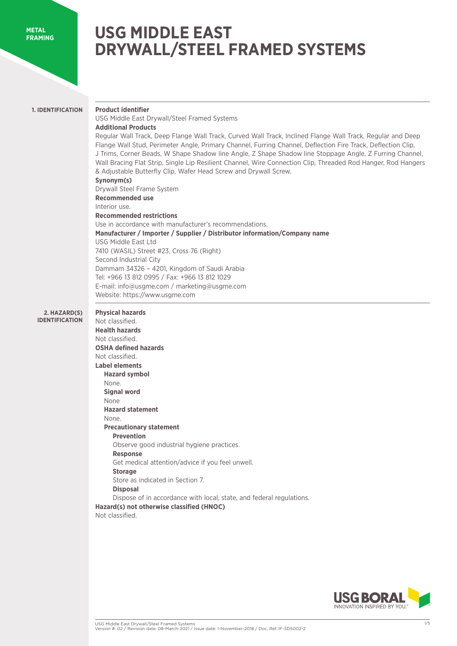#### **METAL FRAMING**

# **USG MIDDLE EAST DRYWALL/STEEL FRAMED SYSTEMS**

# **1. IDENTIFICATION**

USG Middle East Drywall/Steel Framed Systems

## **Additional Products**

**Product identifier** 

Regular Wall Track, Deep Flange Wall Track, Curved Wall Track, Inclined Flange Wall Track, Regular and Deep Flange Wall Stud, Perimeter Angle, Primary Channel, Furring Channel, Deflection Fire Track, Deflection Clip, J Trims, Corner Beads, W Shape Shadow line Angle, Z Shape Shadow line Stoppage Angle, Z Furring Channel, Wall Bracing Flat Strip, Single Lip Resilient Channel, Wire Connection Clip, Threaded Rod Hanger, Rod Hangers & Adjustable Butterfly Clip, Wafer Head Screw and Drywall Screw.

# **Synonym(s)**

Drywall Steel Frame System **Recommended use**  Interior use. **Recommended restrictions** Use in accordance with manufacturer's recommendations. **Manufacturer / Importer / Supplier / Distributor information/Company name**  USG Middle East Ltd 7410 (WASIL) Street #23, Cross 76 (Right) Second Industrial City Dammam 34326 – 4201, Kingdom of Saudi Arabia Tel: +966 13 812 0995 / Fax: +966 13 812 1029 E-mail: info@usgme.com / marketing@usgme.com Website: https://www.usgme.com

#### **2. HAZARD(S) IDENTIFICATION**

**Physical hazards**  Not classified. **Health hazards**  Not classified. **OSHA defined hazards**  Not classified. **Label elements Hazard symbol** None. **Signal word** None **Hazard statement** None. **Precautionary statement Prevention** Observe good industrial hygiene practices. **Response**  Get medical attention/advice if you feel unwell. **Storage** Store as indicated in Section 7. **Disposal** Dispose of in accordance with local, state, and federal regulations. **Hazard(s) not otherwise classified (HNOC)** Not classified.

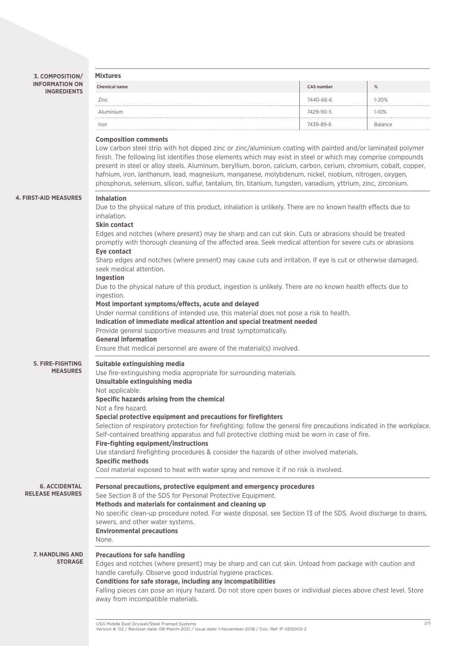**3. COMPOSITION/ INFORMATION ON INGREDIENTS**

| <b>Mixtures</b>      |                   |                |
|----------------------|-------------------|----------------|
| <b>Chemical name</b> | <b>CAS number</b> | %              |
| Zinc                 | 7440-66-6         | $1 - 20%$      |
| Aluminium            | 7429-90-5         | $1-10%$        |
| Iron                 | 7439-89-6         | <b>Balance</b> |
|                      |                   |                |

## **Composition comments**

Low carbon steel strip with hot dipped zinc or zinc/aluminium coating with painted and/or laminated polymer finish. The following list identifies those elements which may exist in steel or which may comprise compounds present in steel or alloy steels. Aluminum, beryllium, boron, calcium, carbon, cerium, chromium, cobalt, copper, hafnium, iron, lanthanum, lead, magnesium, manganese, molybdenum, nickel, niobium, nitrogen, oxygen, phosphorus, selenium, silicon, sulfur, tantalum, tin, titanium, tungsten, vanadium, yttrium, zinc, zirconium.

#### **4. FIRST-AID MEASURE**

| <b>JRES</b> | <b>Inhalation</b>                                                                                                                                                                                                                 |
|-------------|-----------------------------------------------------------------------------------------------------------------------------------------------------------------------------------------------------------------------------------|
|             | Due to the physical nature of this product, inhalation is unlikely. There are no known health effects due to<br>inhalation.                                                                                                       |
|             | <b>Skin contact</b>                                                                                                                                                                                                               |
|             | Edges and notches (where present) may be sharp and can cut skin. Cuts or abrasions should be treated<br>promptly with thorough cleansing of the affected area. Seek medical attention for severe cuts or abrasions<br>Eye contact |
|             | Sharp edges and notches (where present) may cause cuts and irritation. If eye is cut or otherwise damaged,<br>seek medical attention.<br>Ingestion                                                                                |
|             | Due to the physical nature of this product, ingestion is unlikely. There are no known health effects due to<br>ingestion.                                                                                                         |
|             | Most important symptoms/effects, acute and delayed                                                                                                                                                                                |
|             | Under normal conditions of intended use, this material does not pose a risk to health.                                                                                                                                            |
|             | Indication of immediate medical attention and special treatment needed                                                                                                                                                            |
|             | Provide general supportive measures and treat symptomatically.                                                                                                                                                                    |
|             | <b>General information</b>                                                                                                                                                                                                        |
|             | Ensure that medical personnel are aware of the material(s) involved.                                                                                                                                                              |
| <b>TING</b> | Suitable extinguishing media                                                                                                                                                                                                      |
| <b>JRES</b> | Use fire-extinguishing media appropriate for surrounding materials.                                                                                                                                                               |
|             | Unsuitable extinguishing media                                                                                                                                                                                                    |
|             | Not applicable.                                                                                                                                                                                                                   |
|             | Specific hazards arising from the chemical                                                                                                                                                                                        |
|             | Not a fire hazard.                                                                                                                                                                                                                |
|             | Special protective equipment and precautions for firefighters                                                                                                                                                                     |
|             | Selection of respiratory protection for firefighting: follow the general fire precautions indicated in the workplace.                                                                                                             |
|             | Self-contained breathing apparatus and full protective clothing must be worn in case of fire.                                                                                                                                     |
|             | Fire-fighting equipment/instructions                                                                                                                                                                                              |
|             | Use standard firefighting procedures & consider the hazards of other involved materials.                                                                                                                                          |
|             | <b>Specific methods</b><br>Cool material exposed to heat with water spray and remove it if no risk is involved.                                                                                                                   |
|             |                                                                                                                                                                                                                                   |

**6. ACCIDENTAL RELEASE MEASURES**

**5. FIRE-FIGH MEAS** 

See Section 8 of the SDS for Personal Protective Equipment.

**Methods and materials for containment and cleaning up**

**Personal precautions, protective equipment and emergency procedures**

No specific clean-up procedure noted. For waste disposal, see Section 13 of the SDS. Avoid discharge to drains, sewers, and other water systems.

**Environmental precautions** None.

**7. HANDLING AND STORAGE**

## **Precautions for safe handling**

Edges and notches (where present) may be sharp and can cut skin. Unload from package with caution and handle carefully. Observe good industrial hygiene practices.

### **Conditions for safe storage, including any incompatibilities**

Falling pieces can pose an injury hazard. Do not store open boxes or individual pieces above chest level. Store away from incompatible materials.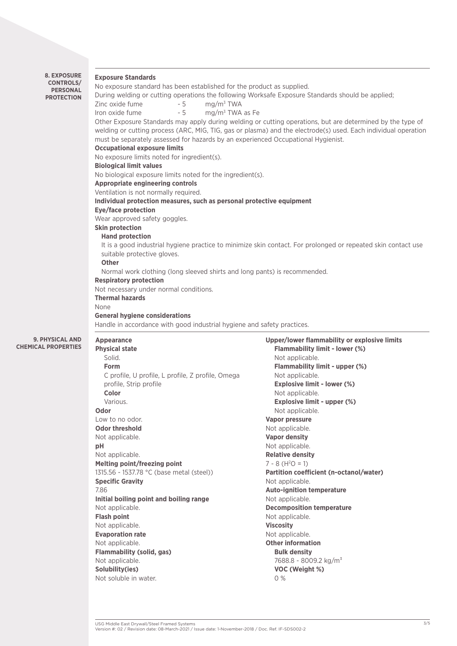| <b>8. EXPOSURE</b><br><b>Exposure Standards</b><br><b>CONTROLS/</b><br>No exposure standard has been established for the product as supplied.<br><b>PERSONAL</b><br>During welding or cutting operations the following Worksafe Exposure Standards should be applied;<br><b>PROTECTION</b><br>mg/m <sup>3</sup> TWA<br>Zinc oxide fume<br>- 5<br>Iron oxide fume<br>$-5$<br>$mg/m3$ TWA as Fe<br>Other Exposure Standards may apply during welding or cutting operations, but are determined by the type of<br>welding or cutting process (ARC, MIG, TIG, gas or plasma) and the electrode(s) used. Each individual operation<br>must be separately assessed for hazards by an experienced Occupational Hygienist.<br><b>Occupational exposure limits</b><br>No exposure limits noted for ingredient(s).<br><b>Biological limit values</b><br>No biological exposure limits noted for the ingredient(s).<br><b>Appropriate engineering controls</b><br>Ventilation is not normally required.<br>Individual protection measures, such as personal protective equipment<br><b>Eye/face protection</b><br>Wear approved safety goggles.<br><b>Skin protection</b><br><b>Hand protection</b><br>It is a good industrial hygiene practice to minimize skin contact. For prolonged or repeated skin contact use<br>suitable protective gloves.<br><b>Other</b><br>Normal work clothing (long sleeved shirts and long pants) is recommended.<br><b>Respiratory protection</b><br>Not necessary under normal conditions.<br><b>Thermal hazards</b><br>None<br><b>General hygiene considerations</b><br>Handle in accordance with good industrial hygiene and safety practices.<br>Upper/lower flammability or explosive limits<br>9. PHYSICAL AND<br>Appearance<br><b>CAL PROPERTIES</b><br><b>Physical state</b><br>Flammability limit - lower (%)<br>Solid.<br>Not applicable.<br>Flammability limit - upper (%)<br><b>Form</b><br>C profile, U profile, L profile, Z profile, Omega<br>Not applicable.<br><b>Explosive limit - lower (%)</b><br>profile, Strip profile<br>Color<br>Not applicable.<br>Explosive limit - upper (%)<br>Various.<br>Not applicable.<br>Odor<br>Low to no odor.<br><b>Vapor pressure</b><br><b>Odor threshold</b><br>Not applicable.<br>Not applicable.<br><b>Vapor density</b><br>pH<br>Not applicable.<br>Not applicable.<br><b>Relative density</b><br>Melting point/freezing point<br>$7 - 8$ (H <sup>2</sup> O = 1)<br>1315.56 - 1537.78 °C (base metal (steel))<br>Partition coefficient (n-octanol/water)<br><b>Specific Gravity</b><br>Not applicable.<br>7.86<br><b>Auto-ignition temperature</b><br>Initial boiling point and boiling range<br>Not applicable.<br>Not applicable.<br><b>Decomposition temperature</b><br><b>Flash point</b><br>Not applicable.<br><b>Viscosity</b><br>Not applicable.<br><b>Evaporation rate</b><br>Not applicable.<br><b>Other information</b><br>Not applicable.<br><b>Flammability (solid, gas)</b><br><b>Bulk density</b><br>7688.8 - 8009.2 kg/m <sup>3</sup><br>Not applicable.<br>Solubility(ies)<br>VOC (Weight %)<br>Not soluble in water.<br>0% |  |  |
|----------------------------------------------------------------------------------------------------------------------------------------------------------------------------------------------------------------------------------------------------------------------------------------------------------------------------------------------------------------------------------------------------------------------------------------------------------------------------------------------------------------------------------------------------------------------------------------------------------------------------------------------------------------------------------------------------------------------------------------------------------------------------------------------------------------------------------------------------------------------------------------------------------------------------------------------------------------------------------------------------------------------------------------------------------------------------------------------------------------------------------------------------------------------------------------------------------------------------------------------------------------------------------------------------------------------------------------------------------------------------------------------------------------------------------------------------------------------------------------------------------------------------------------------------------------------------------------------------------------------------------------------------------------------------------------------------------------------------------------------------------------------------------------------------------------------------------------------------------------------------------------------------------------------------------------------------------------------------------------------------------------------------------------------------------------------------------------------------------------------------------------------------------------------------------------------------------------------------------------------------------------------------------------------------------------------------------------------------------------------------------------------------------------------------------------------------------------------------------------------------------------------------------------------------------------------------------------------------------------------------------------------------------------------------------------------------------------------------------------------------------------------------------------------------------------------------------------------------------------------------------------------------------------------------------------------------------------------------------------------------------------------------------------------------------------------------------------------------------------------------|--|--|
|                                                                                                                                                                                                                                                                                                                                                                                                                                                                                                                                                                                                                                                                                                                                                                                                                                                                                                                                                                                                                                                                                                                                                                                                                                                                                                                                                                                                                                                                                                                                                                                                                                                                                                                                                                                                                                                                                                                                                                                                                                                                                                                                                                                                                                                                                                                                                                                                                                                                                                                                                                                                                                                                                                                                                                                                                                                                                                                                                                                                                                                                                                                            |  |  |
|                                                                                                                                                                                                                                                                                                                                                                                                                                                                                                                                                                                                                                                                                                                                                                                                                                                                                                                                                                                                                                                                                                                                                                                                                                                                                                                                                                                                                                                                                                                                                                                                                                                                                                                                                                                                                                                                                                                                                                                                                                                                                                                                                                                                                                                                                                                                                                                                                                                                                                                                                                                                                                                                                                                                                                                                                                                                                                                                                                                                                                                                                                                            |  |  |

**CHEMI**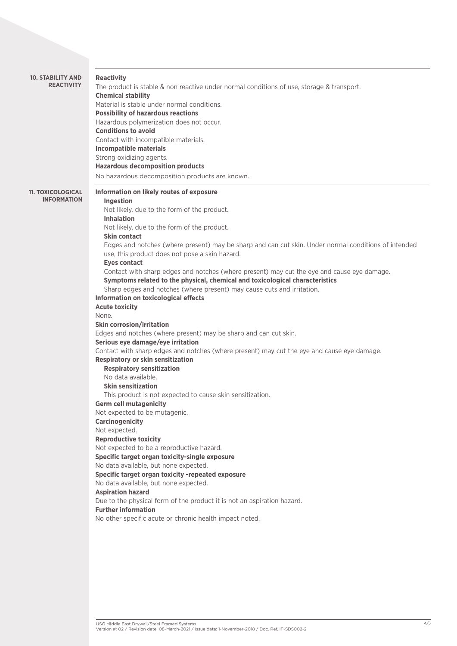| <b>10. STABILITY AND</b><br><b>REACTIVITY</b>  | <b>Reactivity</b><br>The product is stable & non reactive under normal conditions of use, storage & transport.                                                             |
|------------------------------------------------|----------------------------------------------------------------------------------------------------------------------------------------------------------------------------|
|                                                | <b>Chemical stability</b><br>Material is stable under normal conditions.                                                                                                   |
|                                                | <b>Possibility of hazardous reactions</b>                                                                                                                                  |
|                                                | Hazardous polymerization does not occur.                                                                                                                                   |
|                                                | <b>Conditions to avoid</b>                                                                                                                                                 |
|                                                | Contact with incompatible materials.                                                                                                                                       |
|                                                | <b>Incompatible materials</b>                                                                                                                                              |
|                                                | Strong oxidizing agents.                                                                                                                                                   |
|                                                | <b>Hazardous decomposition products</b>                                                                                                                                    |
|                                                | No hazardous decomposition products are known.                                                                                                                             |
| <b>11. TOXICOLOGICAL</b><br><b>INFORMATION</b> | Information on likely routes of exposure<br>Ingestion                                                                                                                      |
|                                                | Not likely, due to the form of the product.<br><b>Inhalation</b>                                                                                                           |
|                                                | Not likely, due to the form of the product.                                                                                                                                |
|                                                | <b>Skin contact</b>                                                                                                                                                        |
|                                                | Edges and notches (where present) may be sharp and can cut skin. Under normal conditions of intended<br>use, this product does not pose a skin hazard.                     |
|                                                | <b>Eyes contact</b>                                                                                                                                                        |
|                                                | Contact with sharp edges and notches (where present) may cut the eye and cause eye damage.<br>Symptoms related to the physical, chemical and toxicological characteristics |
|                                                | Sharp edges and notches (where present) may cause cuts and irritation.                                                                                                     |
|                                                | Information on toxicological effects                                                                                                                                       |
|                                                | <b>Acute toxicity</b>                                                                                                                                                      |
|                                                | None.                                                                                                                                                                      |
|                                                | <b>Skin corrosion/irritation</b>                                                                                                                                           |
|                                                | Edges and notches (where present) may be sharp and can cut skin.                                                                                                           |
|                                                | Serious eye damage/eye irritation                                                                                                                                          |
|                                                | Contact with sharp edges and notches (where present) may cut the eye and cause eye damage.                                                                                 |
|                                                | <b>Respiratory or skin sensitization</b>                                                                                                                                   |
|                                                | <b>Respiratory sensitization</b><br>No data available.                                                                                                                     |
|                                                | <b>Skin sensitization</b>                                                                                                                                                  |
|                                                | This product is not expected to cause skin sensitization.                                                                                                                  |
|                                                | <b>Germ cell mutagenicity</b>                                                                                                                                              |
|                                                | Not expected to be mutagenic.                                                                                                                                              |
|                                                | <b>Carcinogenicity</b>                                                                                                                                                     |
|                                                | Not expected.                                                                                                                                                              |
|                                                | <b>Reproductive toxicity</b>                                                                                                                                               |
|                                                | Not expected to be a reproductive hazard.                                                                                                                                  |
|                                                | Specific target organ toxicity-single exposure                                                                                                                             |
|                                                | No data available, but none expected.<br>Specific target organ toxicity -repeated exposure                                                                                 |
|                                                | No data available, but none expected.                                                                                                                                      |
|                                                | <b>Aspiration hazard</b>                                                                                                                                                   |
|                                                | Due to the physical form of the product it is not an aspiration hazard.                                                                                                    |
|                                                | <b>Further information</b>                                                                                                                                                 |
|                                                | No other specific acute or chronic health impact noted.                                                                                                                    |
|                                                |                                                                                                                                                                            |
|                                                |                                                                                                                                                                            |
|                                                |                                                                                                                                                                            |
|                                                |                                                                                                                                                                            |
|                                                |                                                                                                                                                                            |